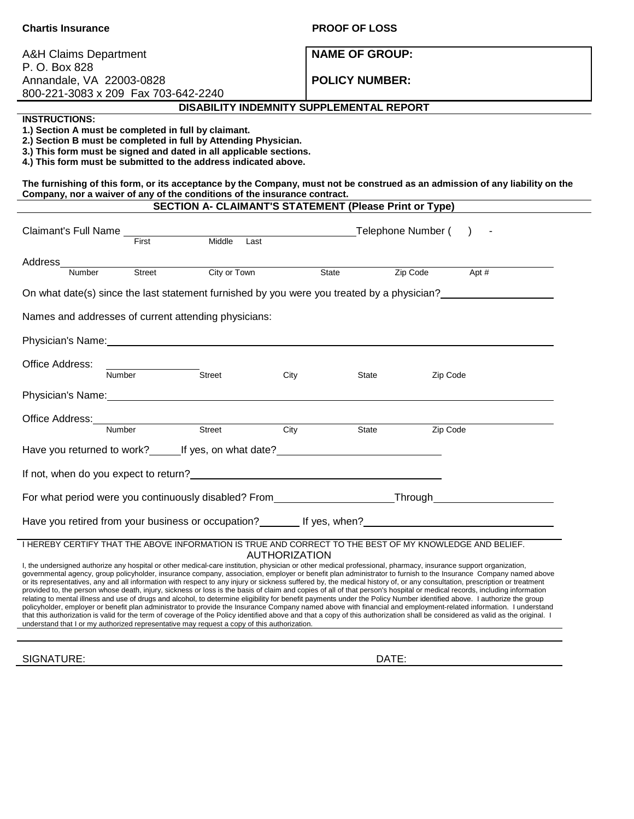| <b>Chartis Insurance</b>                                                                                                                                                                                                                                                                                                                                                                                                                                                                                                                                                                                                                                                                                                                                                                                                                                                                                                                                                                                                                                                                                                                                                                                                                                                                                                                       | <b>PROOF OF LOSS</b>          |  |  |
|------------------------------------------------------------------------------------------------------------------------------------------------------------------------------------------------------------------------------------------------------------------------------------------------------------------------------------------------------------------------------------------------------------------------------------------------------------------------------------------------------------------------------------------------------------------------------------------------------------------------------------------------------------------------------------------------------------------------------------------------------------------------------------------------------------------------------------------------------------------------------------------------------------------------------------------------------------------------------------------------------------------------------------------------------------------------------------------------------------------------------------------------------------------------------------------------------------------------------------------------------------------------------------------------------------------------------------------------|-------------------------------|--|--|
| A&H Claims Department<br>P. O. Box 828                                                                                                                                                                                                                                                                                                                                                                                                                                                                                                                                                                                                                                                                                                                                                                                                                                                                                                                                                                                                                                                                                                                                                                                                                                                                                                         | <b>NAME OF GROUP:</b>         |  |  |
| Annandale, VA 22003-0828                                                                                                                                                                                                                                                                                                                                                                                                                                                                                                                                                                                                                                                                                                                                                                                                                                                                                                                                                                                                                                                                                                                                                                                                                                                                                                                       | <b>POLICY NUMBER:</b>         |  |  |
| 800-221-3083 x 209 Fax 703-642-2240                                                                                                                                                                                                                                                                                                                                                                                                                                                                                                                                                                                                                                                                                                                                                                                                                                                                                                                                                                                                                                                                                                                                                                                                                                                                                                            |                               |  |  |
| DISABILITY INDEMNITY SUPPLEMENTAL REPORT                                                                                                                                                                                                                                                                                                                                                                                                                                                                                                                                                                                                                                                                                                                                                                                                                                                                                                                                                                                                                                                                                                                                                                                                                                                                                                       |                               |  |  |
| <b>INSTRUCTIONS:</b><br>1.) Section A must be completed in full by claimant.<br>2.) Section B must be completed in full by Attending Physician.<br>3.) This form must be signed and dated in all applicable sections.<br>4.) This form must be submitted to the address indicated above.                                                                                                                                                                                                                                                                                                                                                                                                                                                                                                                                                                                                                                                                                                                                                                                                                                                                                                                                                                                                                                                       |                               |  |  |
| The furnishing of this form, or its acceptance by the Company, must not be construed as an admission of any liability on the<br>Company, nor a waiver of any of the conditions of the insurance contract.                                                                                                                                                                                                                                                                                                                                                                                                                                                                                                                                                                                                                                                                                                                                                                                                                                                                                                                                                                                                                                                                                                                                      |                               |  |  |
| <b>SECTION A- CLAIMANT'S STATEMENT (Please Print or Type)</b>                                                                                                                                                                                                                                                                                                                                                                                                                                                                                                                                                                                                                                                                                                                                                                                                                                                                                                                                                                                                                                                                                                                                                                                                                                                                                  |                               |  |  |
| Claimant's Full Name Tirst Middle Last                                                                                                                                                                                                                                                                                                                                                                                                                                                                                                                                                                                                                                                                                                                                                                                                                                                                                                                                                                                                                                                                                                                                                                                                                                                                                                         | Telephone Number ()           |  |  |
| Address_                                                                                                                                                                                                                                                                                                                                                                                                                                                                                                                                                                                                                                                                                                                                                                                                                                                                                                                                                                                                                                                                                                                                                                                                                                                                                                                                       |                               |  |  |
| City or Town<br>Street<br>Number                                                                                                                                                                                                                                                                                                                                                                                                                                                                                                                                                                                                                                                                                                                                                                                                                                                                                                                                                                                                                                                                                                                                                                                                                                                                                                               | $Apt \#$<br>State<br>Zip Code |  |  |
| On what date(s) since the last statement furnished by you were you treated by a physician?                                                                                                                                                                                                                                                                                                                                                                                                                                                                                                                                                                                                                                                                                                                                                                                                                                                                                                                                                                                                                                                                                                                                                                                                                                                     |                               |  |  |
| Names and addresses of current attending physicians:                                                                                                                                                                                                                                                                                                                                                                                                                                                                                                                                                                                                                                                                                                                                                                                                                                                                                                                                                                                                                                                                                                                                                                                                                                                                                           |                               |  |  |
|                                                                                                                                                                                                                                                                                                                                                                                                                                                                                                                                                                                                                                                                                                                                                                                                                                                                                                                                                                                                                                                                                                                                                                                                                                                                                                                                                |                               |  |  |
| Office Address:<br>Number<br>Street<br>City                                                                                                                                                                                                                                                                                                                                                                                                                                                                                                                                                                                                                                                                                                                                                                                                                                                                                                                                                                                                                                                                                                                                                                                                                                                                                                    | State<br>Zip Code             |  |  |
| Physician's Name: Name: Name: Name: Name: Name: Name: Name: Name: Name: Name: Name: Name: Name: Name: Name: Name: Name: Name: Name: Name: Name: Name: Name: Name: Name: Name: Name: Name: Name: Name: Name: Name: Name: Name:                                                                                                                                                                                                                                                                                                                                                                                                                                                                                                                                                                                                                                                                                                                                                                                                                                                                                                                                                                                                                                                                                                                  |                               |  |  |
| Office Address:<br>Number<br>Street                                                                                                                                                                                                                                                                                                                                                                                                                                                                                                                                                                                                                                                                                                                                                                                                                                                                                                                                                                                                                                                                                                                                                                                                                                                                                                            |                               |  |  |
| City                                                                                                                                                                                                                                                                                                                                                                                                                                                                                                                                                                                                                                                                                                                                                                                                                                                                                                                                                                                                                                                                                                                                                                                                                                                                                                                                           | Zip Code<br>State             |  |  |
| Have you returned to work? Let us and the set on what date?                                                                                                                                                                                                                                                                                                                                                                                                                                                                                                                                                                                                                                                                                                                                                                                                                                                                                                                                                                                                                                                                                                                                                                                                                                                                                    |                               |  |  |
|                                                                                                                                                                                                                                                                                                                                                                                                                                                                                                                                                                                                                                                                                                                                                                                                                                                                                                                                                                                                                                                                                                                                                                                                                                                                                                                                                |                               |  |  |
| For what period were you continuously disabled? From____________________________Through_______________________                                                                                                                                                                                                                                                                                                                                                                                                                                                                                                                                                                                                                                                                                                                                                                                                                                                                                                                                                                                                                                                                                                                                                                                                                                 |                               |  |  |
|                                                                                                                                                                                                                                                                                                                                                                                                                                                                                                                                                                                                                                                                                                                                                                                                                                                                                                                                                                                                                                                                                                                                                                                                                                                                                                                                                |                               |  |  |
| I HEREBY CERTIFY THAT THE ABOVE INFORMATION IS TRUE AND CORRECT TO THE BEST OF MY KNOWLEDGE AND BELIEF.                                                                                                                                                                                                                                                                                                                                                                                                                                                                                                                                                                                                                                                                                                                                                                                                                                                                                                                                                                                                                                                                                                                                                                                                                                        |                               |  |  |
| AUTHORIZATION<br>I, the undersigned authorize any hospital or other medical-care institution, physician or other medical professional, pharmacy, insurance support organization,<br>governmental agency, group policyholder, insurance company, association, employer or benefit plan administrator to furnish to the Insurance Company named above<br>or its representatives, any and all information with respect to any injury or sickness suffered by, the medical history of, or any consultation, prescription or treatment<br>provided to, the person whose death, injury, sickness or loss is the basis of claim and copies of all of that person's hospital or medical records, including information<br>relating to mental illness and use of drugs and alcohol, to determine eligibility for benefit payments under the Policy Number identified above. I authorize the group<br>policyholder, employer or benefit plan administrator to provide the Insurance Company named above with financial and employment-related information. I understand<br>that this authorization is valid for the term of coverage of the Policy identified above and that a copy of this authorization shall be considered as valid as the original. I<br>understand that I or my authorized representative may request a copy of this authorization. |                               |  |  |
| SIGNATURE:                                                                                                                                                                                                                                                                                                                                                                                                                                                                                                                                                                                                                                                                                                                                                                                                                                                                                                                                                                                                                                                                                                                                                                                                                                                                                                                                     | DATE:                         |  |  |